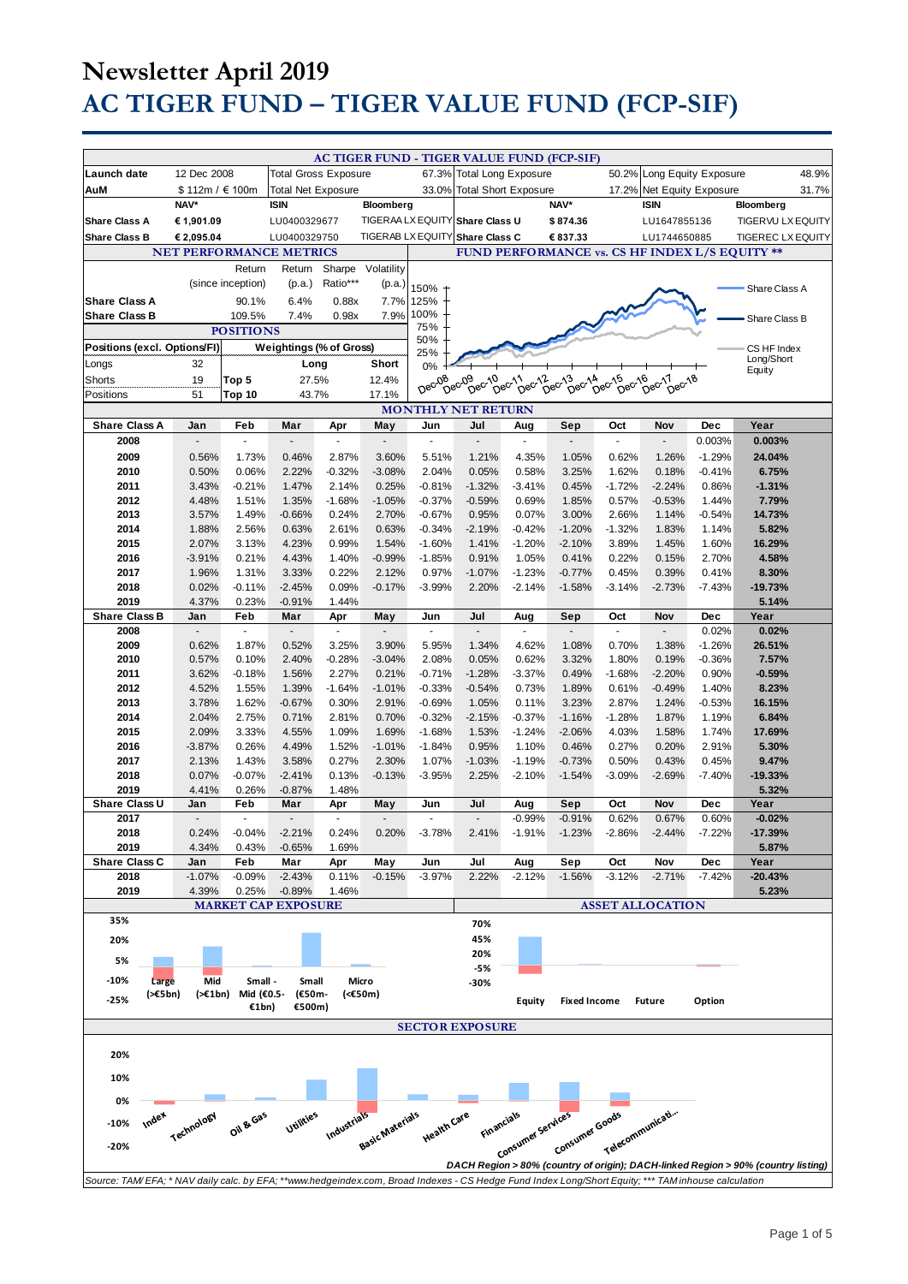|                                                                                                                                                     |                                |                             |                             |                       |                        |                          | AC TIGER FUND - TIGER VALUE FUND (FCP-SIF) |                             |                     |                    |                            |               |                                                                                   |       |
|-----------------------------------------------------------------------------------------------------------------------------------------------------|--------------------------------|-----------------------------|-----------------------------|-----------------------|------------------------|--------------------------|--------------------------------------------|-----------------------------|---------------------|--------------------|----------------------------|---------------|-----------------------------------------------------------------------------------|-------|
| Launch date                                                                                                                                         | 12 Dec 2008                    |                             | <b>Total Gross Exposure</b> |                       |                        |                          | 67.3% Total Long Exposure                  |                             |                     |                    | 50.2% Long Equity Exposure |               |                                                                                   | 48.9% |
| AuM                                                                                                                                                 | \$112m / €100m                 |                             | Total Net Exposure          |                       |                        | 33.0%                    |                                            | <b>Total Short Exposure</b> |                     | 17.2%              | Net Equity Exposure        |               |                                                                                   | 31.7% |
|                                                                                                                                                     | NAV*                           |                             | <b>ISIN</b>                 |                       | Bloomberg              |                          |                                            |                             | NAV*                |                    | <b>ISIN</b>                |               | Bloomberg                                                                         |       |
| <b>Share Class A</b>                                                                                                                                | € 1,901.09                     |                             | LU0400329677                |                       |                        |                          | TIGERAA LX EQUITY Share Class U            |                             | \$874.36            |                    | LU1647855136               |               | TIGERVU LX EQUITY                                                                 |       |
| <b>Share Class B</b>                                                                                                                                | € 2,095.04                     |                             | LU0400329750                |                       |                        | <b>TIGERAB LX EQUITY</b> | <b>Share Class C</b>                       |                             | € 837.33            |                    | LU1744650885               |               | <b>TIGEREC LX EQUITY</b>                                                          |       |
|                                                                                                                                                     | <b>NET PERFORMANCE METRICS</b> |                             |                             |                       |                        |                          |                                            |                             |                     |                    |                            |               | FUND PERFORMANCE vs. CS HF INDEX L/S EQUITY **                                    |       |
|                                                                                                                                                     |                                | Return                      | Return                      | Sharpe                | Volatility             |                          |                                            |                             |                     |                    |                            |               |                                                                                   |       |
|                                                                                                                                                     |                                | (since inception)           | (p.a.)                      | Ratio***              | (p.a.)                 | 150%                     |                                            |                             |                     |                    |                            |               | Share Class A                                                                     |       |
| <b>Share Class A</b>                                                                                                                                |                                | 90.1%                       | 6.4%                        | 0.88x                 | 7.7%                   | 125%                     |                                            |                             |                     |                    |                            |               |                                                                                   |       |
| <b>Share Class B</b>                                                                                                                                |                                | 109.5%                      | 7.4%                        | 0.98x                 | 7.9%                   | 100%                     |                                            |                             |                     |                    |                            |               |                                                                                   |       |
| <b>POSITIONS</b>                                                                                                                                    |                                |                             |                             |                       | 75%                    |                          |                                            |                             |                     |                    |                            | Share Class B |                                                                                   |       |
| Positions (excl. Options/FI)<br>Weightings (% of Gross)                                                                                             |                                |                             |                             |                       | 50%                    |                          |                                            |                             |                     |                    |                            |               |                                                                                   |       |
|                                                                                                                                                     |                                |                             |                             |                       |                        | 25%                      |                                            |                             |                     |                    |                            |               | CS HF Index<br>Long/Short                                                         |       |
| Longs                                                                                                                                               | 32                             |                             | Long                        |                       | Short                  | 0%                       |                                            |                             |                     |                    |                            |               | Equity                                                                            |       |
| Shorts                                                                                                                                              | 19                             | Top 5                       | 27.5%                       |                       | 12.4%                  | Dec-08                   | Dec <sub>09</sub><br>Dec-10 ec-11          | 11 pec-12 ec-13             | Dec-14              | Dec-15<br>$DeC$ 16 | Dec-17<br>Dec-18           |               |                                                                                   |       |
| Positions                                                                                                                                           | 51                             | Top 10                      | 43.7%                       |                       | 17.1%                  |                          |                                            |                             |                     |                    |                            |               |                                                                                   |       |
| <b>MONTHLY NET RETURN</b>                                                                                                                           |                                |                             |                             |                       |                        |                          |                                            |                             |                     |                    |                            |               |                                                                                   |       |
| <b>Share Class A</b>                                                                                                                                | Jan                            | Feb                         | Mar                         | Apr                   | May                    | Jun                      | Jul                                        | Aug                         | Sep                 | Oct                | Nov                        | Dec           | Year                                                                              |       |
| 2008                                                                                                                                                | ÷.                             | ä,                          | ÷.                          | ä,                    | Ē,                     | ä,                       | L.                                         | ä,                          | $\omega$            | ä,                 | ÷.                         | 0.003%        | 0.003%                                                                            |       |
| 2009                                                                                                                                                | 0.56%                          | 1.73%                       | 0.46%                       | 2.87%                 | 3.60%                  | 5.51%                    | 1.21%                                      | 4.35%                       | 1.05%               | 0.62%              | 1.26%                      | $-1.29%$      | 24.04%                                                                            |       |
| 2010                                                                                                                                                | 0.50%                          | 0.06%                       | 2.22%                       | $-0.32%$              | $-3.08%$               | 2.04%                    | 0.05%                                      | 0.58%                       | 3.25%               | 1.62%              | 0.18%                      | $-0.41%$      | 6.75%                                                                             |       |
| 2011                                                                                                                                                | 3.43%                          | $-0.21%$                    | 1.47%                       | 2.14%                 | 0.25%                  | $-0.81%$                 | $-1.32%$                                   | $-3.41%$                    | 0.45%               | $-1.72%$           | $-2.24%$                   | 0.86%         | $-1.31%$                                                                          |       |
| 2012                                                                                                                                                | 4.48%                          | 1.51%                       | 1.35%                       | $-1.68%$              | $-1.05%$               | $-0.37%$                 | $-0.59%$                                   | 0.69%                       | 1.85%               | 0.57%              | $-0.53%$                   | 1.44%         | 7.79%                                                                             |       |
| 2013                                                                                                                                                | 3.57%                          | 1.49%                       | $-0.66%$                    | 0.24%                 | 2.70%                  | $-0.67%$                 | 0.95%                                      | 0.07%                       | 3.00%               | 2.66%              | 1.14%                      | $-0.54%$      | 14.73%                                                                            |       |
| 2014                                                                                                                                                | 1.88%                          | 2.56%                       | 0.63%                       | 2.61%                 | 0.63%                  | $-0.34%$                 | $-2.19%$                                   | $-0.42%$                    | $-1.20%$            | $-1.32%$           | 1.83%                      | 1.14%         | 5.82%                                                                             |       |
| 2015                                                                                                                                                | 2.07%                          | 3.13%                       | 4.23%                       | 0.99%                 | 1.54%                  | $-1.60%$                 | 1.41%                                      | $-1.20%$                    | $-2.10%$            | 3.89%              | 1.45%                      | 1.60%         | 16.29%                                                                            |       |
| 2016                                                                                                                                                | $-3.91%$                       | 0.21%                       | 4.43%                       | 1.40%                 | $-0.99%$               | $-1.85%$                 | 0.91%                                      | 1.05%                       | 0.41%               | 0.22%              | 0.15%                      | 2.70%         | 4.58%                                                                             |       |
| 2017                                                                                                                                                | 1.96%                          | 1.31%                       | 3.33%                       | 0.22%                 | 2.12%                  | 0.97%                    | $-1.07%$                                   | $-1.23%$                    | $-0.77%$            | 0.45%              | 0.39%                      | 0.41%         | 8.30%                                                                             |       |
| 2018                                                                                                                                                | 0.02%                          | $-0.11%$                    | $-2.45%$                    | 0.09%                 | $-0.17%$               | $-3.99%$                 | 2.20%                                      | $-2.14%$                    | $-1.58%$            | $-3.14%$           | $-2.73%$                   | $-7.43%$      | $-19.73%$                                                                         |       |
| 2019                                                                                                                                                | 4.37%                          | 0.23%                       | $-0.91%$                    | 1.44%                 |                        |                          |                                            |                             |                     |                    |                            |               | 5.14%                                                                             |       |
| <b>Share Class B</b>                                                                                                                                | Jan                            | Feb                         | Mar                         | Apr                   | May                    | Jun                      | Jul                                        | Aug                         | Sep                 | Oct                | Nov                        | Dec           | Year                                                                              |       |
| 2008                                                                                                                                                | $\blacksquare$                 | ä,                          | $\blacksquare$              | $\tilde{\phantom{a}}$ | ÷,                     | ×.                       | $\tilde{\phantom{a}}$                      |                             | $\sim$              | $\overline{a}$     |                            | 0.02%         | 0.02%                                                                             |       |
| 2009                                                                                                                                                | 0.62%                          | 1.87%                       | 0.52%                       | 3.25%                 | 3.90%                  | 5.95%                    | 1.34%                                      | 4.62%                       | 1.08%               | 0.70%              | 1.38%                      | $-1.26%$      | 26.51%                                                                            |       |
| 2010                                                                                                                                                | 0.57%                          | 0.10%                       | 2.40%                       | $-0.28%$              | $-3.04%$               | 2.08%                    | 0.05%                                      | 0.62%                       | 3.32%               | 1.80%              | 0.19%                      | $-0.36%$      | 7.57%                                                                             |       |
| 2011                                                                                                                                                | 3.62%                          | $-0.18%$                    | 1.56%                       | 2.27%                 | 0.21%                  | $-0.71%$                 | $-1.28%$                                   | $-3.37%$                    | 0.49%               | $-1.68%$           | $-2.20%$                   | 0.90%         | $-0.59%$                                                                          |       |
| 2012                                                                                                                                                | 4.52%                          | 1.55%                       | 1.39%                       | $-1.64%$              | $-1.01%$               | $-0.33%$                 | $-0.54%$                                   | 0.73%                       | 1.89%               | 0.61%              | $-0.49%$                   | 1.40%         | 8.23%                                                                             |       |
| 2013                                                                                                                                                | 3.78%                          | 1.62%                       | $-0.67%$                    | 0.30%                 | 2.91%                  | $-0.69%$                 | 1.05%                                      | 0.11%                       | 3.23%               | 2.87%              | 1.24%                      | $-0.53%$      | 16.15%                                                                            |       |
| 2014                                                                                                                                                | 2.04%                          | 2.75%                       | 0.71%                       | 2.81%                 | 0.70%                  | $-0.32%$                 | $-2.15%$                                   | $-0.37%$                    | $-1.16%$            | $-1.28%$           | 1.87%                      | 1.19%         | 6.84%                                                                             |       |
| 2015                                                                                                                                                | 2.09%                          | 3.33%                       | 4.55%                       | 1.09%                 | 1.69%                  | $-1.68%$                 | 1.53%                                      | $-1.24%$                    | $-2.06%$            | 4.03%              | 1.58%                      | 1.74%         | 17.69%                                                                            |       |
| 2016                                                                                                                                                | $-3.87%$                       | 0.26%                       | 4.49%                       | 1.52%                 | $-1.01%$               | $-1.84%$                 | 0.95%                                      | 1.10%                       | 0.46%               | 0.27%              | 0.20%                      | 2.91%         | 5.30%                                                                             |       |
| 2017                                                                                                                                                | 2.13%                          | 1.43%                       | 3.58%                       | 0.27%                 | 2.30%                  | 1.07%                    | $-1.03%$                                   | $-1.19%$                    | $-0.73%$            | 0.50%              | 0.43%                      | 0.45%         | 9.47%                                                                             |       |
| 2018                                                                                                                                                | 0.07%                          | $-0.07%$                    | $-2.41%$                    | 0.13%                 | $-0.13%$               | $-3.95%$                 | 2.25%                                      | $-2.10%$                    | $-1.54%$            | $-3.09%$           | $-2.69%$                   | $-7.40%$      | $-19.33%$                                                                         |       |
| 2019                                                                                                                                                | 4.41%                          | 0.26%                       | $-0.87%$                    | 1.48%                 |                        |                          |                                            |                             |                     |                    |                            |               | 5.32%                                                                             |       |
| Share Class U                                                                                                                                       | Jan                            | Feb                         | Mar                         | Apr                   | May                    | Jun                      | Jul                                        | Aug                         | Sep                 | Oct                | Nov                        | Dec           | Year                                                                              |       |
| 2017                                                                                                                                                | $\overline{a}$                 | ÷,                          |                             | ÷,                    |                        |                          |                                            | $-0.99%$                    | $-0.91%$            | 0.62%              | 0.67%                      | 0.60%         | $-0.02%$                                                                          |       |
| 2018                                                                                                                                                | 0.24%                          | $-0.04%$                    | $-2.21%$                    | 0.24%                 | 0.20%                  | $-3.78%$                 | 2.41%                                      | $-1.91%$                    | $-1.23%$            | $-2.86%$           | $-2.44%$                   | $-7.22%$      | $-17.39%$                                                                         |       |
| 2019                                                                                                                                                | 4.34%                          | 0.43%                       | $-0.65%$                    | 1.69%                 |                        |                          |                                            |                             |                     |                    |                            |               | 5.87%                                                                             |       |
| Share Class C                                                                                                                                       | Jan                            | Feb                         | Mar                         | Apr                   | May                    | Jun                      | Jul                                        | Aug                         | Sep                 | Oct                | Nov                        | <b>Dec</b>    | Year                                                                              |       |
| 2018                                                                                                                                                | $-1.07%$                       | $-0.09%$                    | $-2.43%$                    | 0.11%                 | $-0.15%$               | $-3.97%$                 | 2.22%                                      | $-2.12%$                    | $-1.56%$            | $-3.12%$           | $-2.71%$                   | $-7.42%$      | -20.43%                                                                           |       |
| 2019                                                                                                                                                | 4.39%                          | 0.25%                       | $-0.89%$                    | 1.46%                 |                        |                          |                                            |                             |                     |                    |                            |               | 5.23%                                                                             |       |
|                                                                                                                                                     |                                |                             | <b>MARKET CAP EXPOSURE</b>  |                       |                        |                          |                                            |                             |                     |                    | <b>ASSET ALLOCATION</b>    |               |                                                                                   |       |
| 35%                                                                                                                                                 |                                |                             |                             |                       |                        |                          | 70%                                        |                             |                     |                    |                            |               |                                                                                   |       |
| 20%                                                                                                                                                 |                                |                             |                             |                       |                        |                          | 45%                                        |                             |                     |                    |                            |               |                                                                                   |       |
| 5%                                                                                                                                                  |                                |                             |                             |                       |                        |                          | 20%                                        |                             |                     |                    |                            |               |                                                                                   |       |
|                                                                                                                                                     |                                |                             |                             |                       |                        |                          | -5%                                        |                             |                     |                    |                            |               |                                                                                   |       |
| $-10%$<br>Large                                                                                                                                     | Mid                            | Small -                     | Small                       |                       | Micro                  |                          | -30%                                       |                             |                     |                    |                            |               |                                                                                   |       |
| $(\geq \epsilon 5bn)$<br>$-25%$                                                                                                                     |                                | (>€1bn) Mid (€0.5-<br>€1bn) | (€50m-<br>€500m)            |                       | (<€50m)                |                          |                                            | Equity                      | <b>Fixed Income</b> |                    | <b>Future</b>              | Option        |                                                                                   |       |
|                                                                                                                                                     |                                |                             |                             |                       |                        |                          |                                            |                             |                     |                    |                            |               |                                                                                   |       |
|                                                                                                                                                     |                                |                             |                             |                       |                        |                          | <b>SECTOR EXPOSURE</b>                     |                             |                     |                    |                            |               |                                                                                   |       |
|                                                                                                                                                     |                                |                             |                             |                       |                        |                          |                                            |                             |                     |                    |                            |               |                                                                                   |       |
| 20%                                                                                                                                                 |                                |                             |                             |                       |                        |                          |                                            |                             |                     |                    |                            |               |                                                                                   |       |
| 10%                                                                                                                                                 |                                |                             |                             |                       |                        |                          |                                            |                             |                     |                    |                            |               |                                                                                   |       |
|                                                                                                                                                     |                                |                             |                             |                       |                        |                          |                                            |                             |                     |                    |                            |               |                                                                                   |       |
| 0%                                                                                                                                                  |                                |                             |                             |                       |                        |                          |                                            |                             |                     |                    |                            |               |                                                                                   |       |
| Index                                                                                                                                               | Technology                     | Oil & Gas                   | Utilities                   |                       |                        | Health Care              | <b>Financials</b>                          |                             |                     |                    |                            |               |                                                                                   |       |
| $-10%$                                                                                                                                              |                                |                             |                             |                       |                        |                          |                                            |                             |                     |                    |                            |               |                                                                                   |       |
| $-20%$                                                                                                                                              |                                |                             |                             |                       | Industrials (Materials |                          |                                            | Consumer services           | Consumer Goods      | Telecommunicati    |                            |               |                                                                                   |       |
|                                                                                                                                                     |                                |                             |                             |                       |                        |                          |                                            |                             |                     |                    |                            |               | DACH Region > 80% (country of origin); DACH-linked Region > 90% (country listing) |       |
| Source: TAM/EFA; * NAV daily calc. by EFA; **www.hedgeindex.com, Broad Indexes - CS Hedge Fund Index Long/Short Equity; *** TAM inhouse calculation |                                |                             |                             |                       |                        |                          |                                            |                             |                     |                    |                            |               |                                                                                   |       |
|                                                                                                                                                     |                                |                             |                             |                       |                        |                          |                                            |                             |                     |                    |                            |               |                                                                                   |       |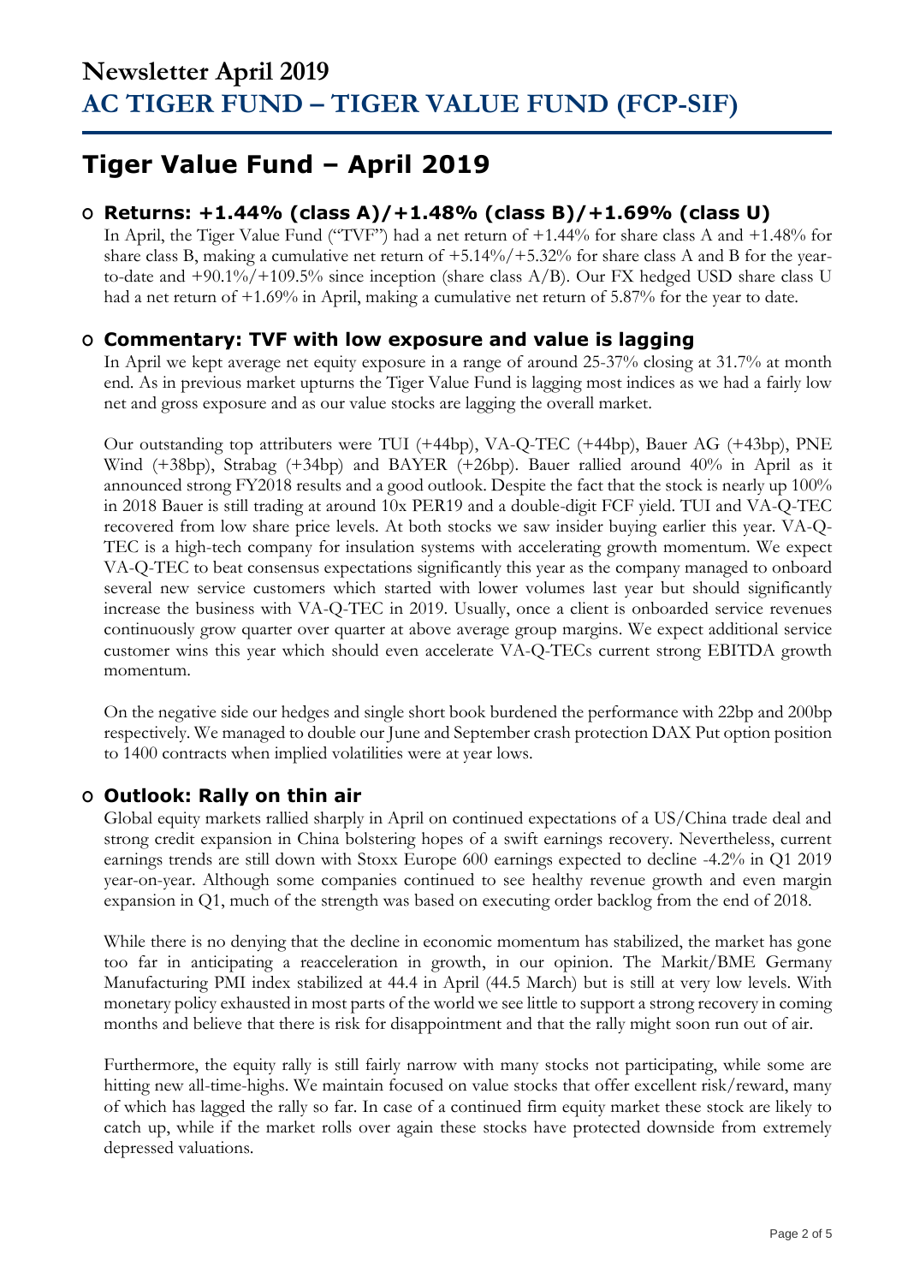## **Tiger Value Fund – April 2019**

### **O Returns: +1.44% (class A)/+1.48% (class B)/+1.69% (class U)**

In April, the Tiger Value Fund ("TVF") had a net return of +1.44% for share class A and +1.48% for share class B, making a cumulative net return of +5.14%/+5.32% for share class A and B for the yearto-date and  $+90.1\%/+109.5\%$  since inception (share class A/B). Our FX hedged USD share class U had a net return of  $+1.69\%$  in April, making a cumulative net return of 5.87% for the year to date.

### **O Commentary: TVF with low exposure and value is lagging**

In April we kept average net equity exposure in a range of around 25-37% closing at 31.7% at month end. As in previous market upturns the Tiger Value Fund is lagging most indices as we had a fairly low net and gross exposure and as our value stocks are lagging the overall market.

Our outstanding top attributers were TUI (+44bp), VA-Q-TEC (+44bp), Bauer AG (+43bp), PNE Wind (+38bp), Strabag (+34bp) and BAYER (+26bp). Bauer rallied around 40% in April as it announced strong FY2018 results and a good outlook. Despite the fact that the stock is nearly up 100% in 2018 Bauer is still trading at around 10x PER19 and a double-digit FCF yield. TUI and VA-Q-TEC recovered from low share price levels. At both stocks we saw insider buying earlier this year. VA-Q-TEC is a high-tech company for insulation systems with accelerating growth momentum. We expect VA-Q-TEC to beat consensus expectations significantly this year as the company managed to onboard several new service customers which started with lower volumes last year but should significantly increase the business with VA-Q-TEC in 2019. Usually, once a client is onboarded service revenues continuously grow quarter over quarter at above average group margins. We expect additional service customer wins this year which should even accelerate VA-Q-TECs current strong EBITDA growth momentum.

On the negative side our hedges and single short book burdened the performance with 22bp and 200bp respectively. We managed to double our June and September crash protection DAX Put option position to 1400 contracts when implied volatilities were at year lows.

### **O Outlook: Rally on thin air**

Global equity markets rallied sharply in April on continued expectations of a US/China trade deal and strong credit expansion in China bolstering hopes of a swift earnings recovery. Nevertheless, current earnings trends are still down with Stoxx Europe 600 earnings expected to decline -4.2% in Q1 2019 year-on-year. Although some companies continued to see healthy revenue growth and even margin expansion in Q1, much of the strength was based on executing order backlog from the end of 2018.

While there is no denying that the decline in economic momentum has stabilized, the market has gone too far in anticipating a reacceleration in growth, in our opinion. The Markit/BME Germany Manufacturing PMI index stabilized at 44.4 in April (44.5 March) but is still at very low levels. With monetary policy exhausted in most parts of the world we see little to support a strong recovery in coming months and believe that there is risk for disappointment and that the rally might soon run out of air.

Furthermore, the equity rally is still fairly narrow with many stocks not participating, while some are hitting new all-time-highs. We maintain focused on value stocks that offer excellent risk/reward, many of which has lagged the rally so far. In case of a continued firm equity market these stock are likely to catch up, while if the market rolls over again these stocks have protected downside from extremely depressed valuations.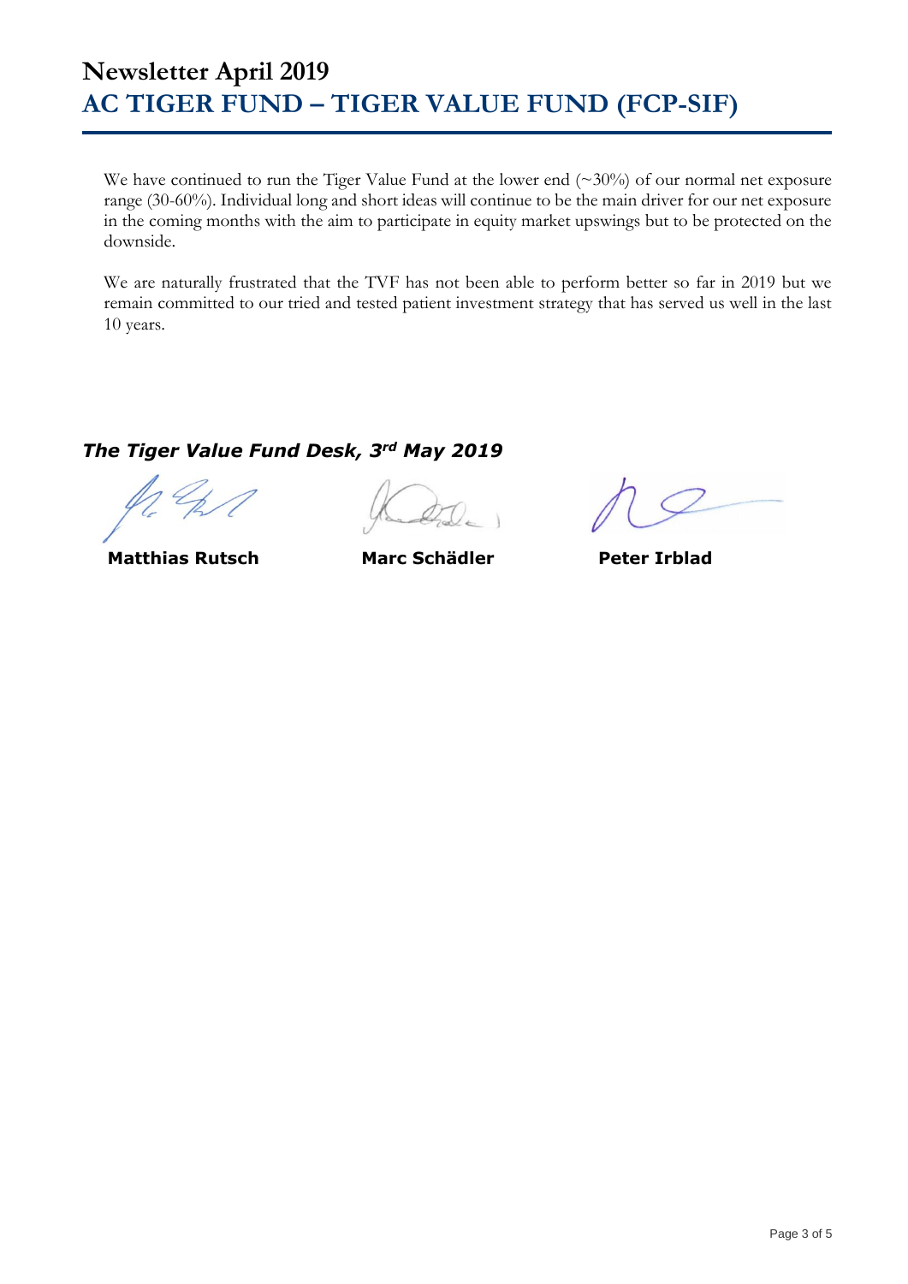We have continued to run the Tiger Value Fund at the lower end (~30%) of our normal net exposure range (30-60%). Individual long and short ideas will continue to be the main driver for our net exposure in the coming months with the aim to participate in equity market upswings but to be protected on the downside.

We are naturally frustrated that the TVF has not been able to perform better so far in 2019 but we remain committed to our tried and tested patient investment strategy that has served us well in the last 10 years.

### *The Tiger Value Fund Desk, 3rd May 2019*

**Matthias Rutsch Marc Schädler Peter Irblad**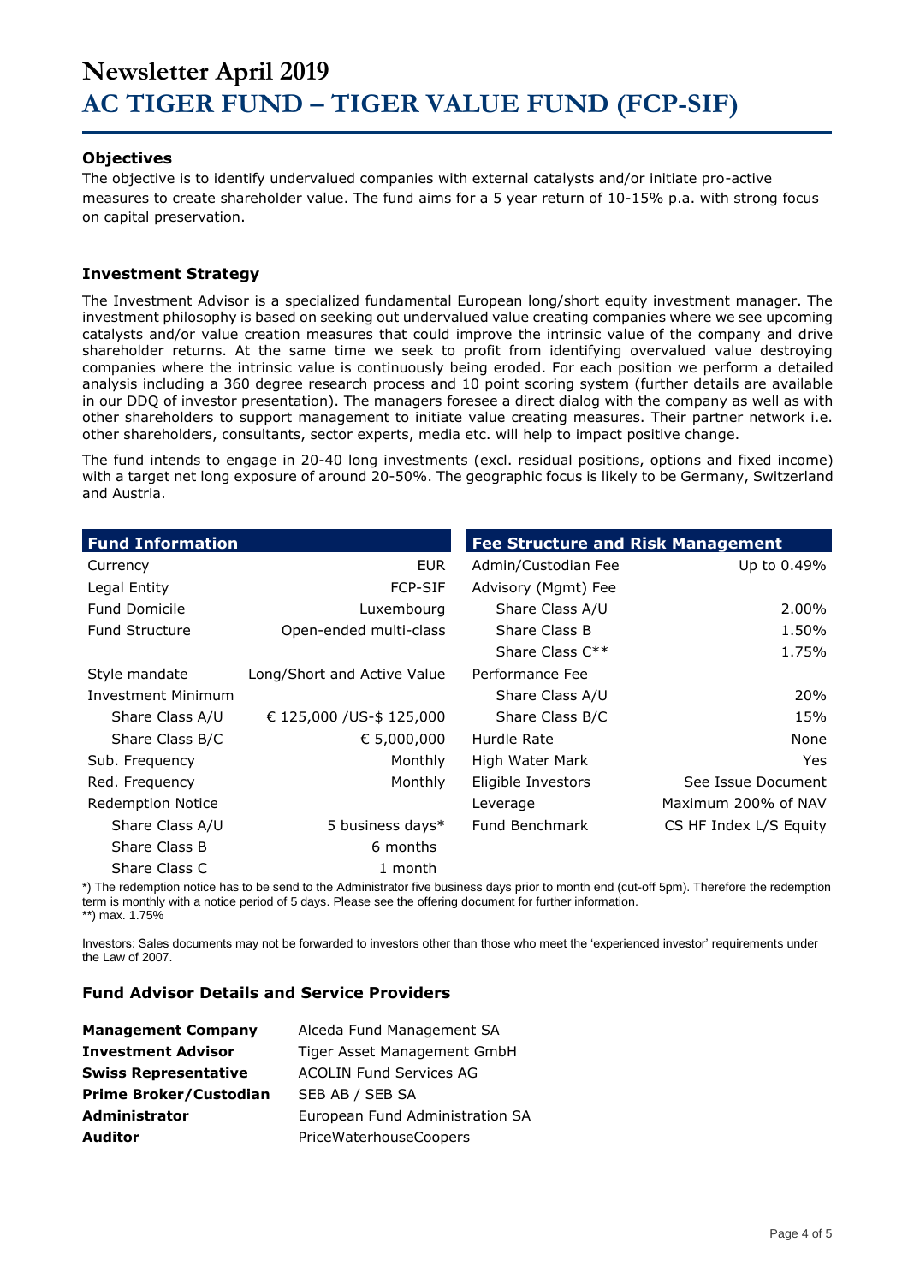#### **Objectives**

The objective is to identify undervalued companies with external catalysts and/or initiate pro-active measures to create shareholder value. The fund aims for a 5 year return of 10-15% p.a. with strong focus on capital preservation.

#### **Investment Strategy**

The Investment Advisor is a specialized fundamental European long/short equity investment manager. The investment philosophy is based on seeking out undervalued value creating companies where we see upcoming catalysts and/or value creation measures that could improve the intrinsic value of the company and drive shareholder returns. At the same time we seek to profit from identifying overvalued value destroying companies where the intrinsic value is continuously being eroded. For each position we perform a detailed analysis including a 360 degree research process and 10 point scoring system (further details are available in our DDQ of investor presentation). The managers foresee a direct dialog with the company as well as with other shareholders to support management to initiate value creating measures. Their partner network i.e. other shareholders, consultants, sector experts, media etc. will help to impact positive change.

The fund intends to engage in 20-40 long investments (excl. residual positions, options and fixed income) with a target net long exposure of around 20-50%. The geographic focus is likely to be Germany, Switzerland and Austria.

| <b>Fund Information</b>   |                             | <b>Fee Structure and Risk Management</b> |                        |
|---------------------------|-----------------------------|------------------------------------------|------------------------|
| Currency                  | EUR.                        | Admin/Custodian Fee                      | Up to 0.49%            |
| Legal Entity              | <b>FCP-SIF</b>              | Advisory (Mgmt) Fee                      |                        |
| <b>Fund Domicile</b>      | Luxembourg                  | Share Class A/U                          | 2.00%                  |
| <b>Fund Structure</b>     | Open-ended multi-class      | Share Class B                            | 1.50%                  |
|                           |                             | Share Class $C^{**}$                     | 1.75%                  |
| Style mandate             | Long/Short and Active Value | Performance Fee                          |                        |
| <b>Investment Minimum</b> |                             | Share Class A/U                          | 20%                    |
| Share Class A/U           | € 125,000 /US-\$ 125,000    | Share Class B/C                          | 15%                    |
| Share Class B/C           | € 5,000,000                 | Hurdle Rate                              | None                   |
| Sub. Frequency            | Monthly                     | High Water Mark                          | Yes.                   |
| Red. Frequency            | Monthly                     | Eligible Investors                       | See Issue Document     |
| <b>Redemption Notice</b>  |                             | Leverage                                 | Maximum 200% of NAV    |
| Share Class A/U           | 5 business days*            | <b>Fund Benchmark</b>                    | CS HF Index L/S Equity |
| Share Class B             | 6 months                    |                                          |                        |
| Share Class C             | 1 month                     |                                          |                        |

\*) The redemption notice has to be send to the Administrator five business days prior to month end (cut-off 5pm). Therefore the redemption term is monthly with a notice period of 5 days. Please see the offering document for further information. \*\*) max. 1.75%

Investors: Sales documents may not be forwarded to investors other than those who meet the 'experienced investor' requirements under the Law of 2007.

#### **Fund Advisor Details and Service Providers**

| <b>Management Company</b>     | Alceda Fund Management SA       |
|-------------------------------|---------------------------------|
| <b>Investment Advisor</b>     | Tiger Asset Management GmbH     |
| <b>Swiss Representative</b>   | <b>ACOLIN Fund Services AG</b>  |
| <b>Prime Broker/Custodian</b> | SEB AB / SEB SA                 |
| <b>Administrator</b>          | European Fund Administration SA |
| <b>Auditor</b>                | PriceWaterhouseCoopers          |